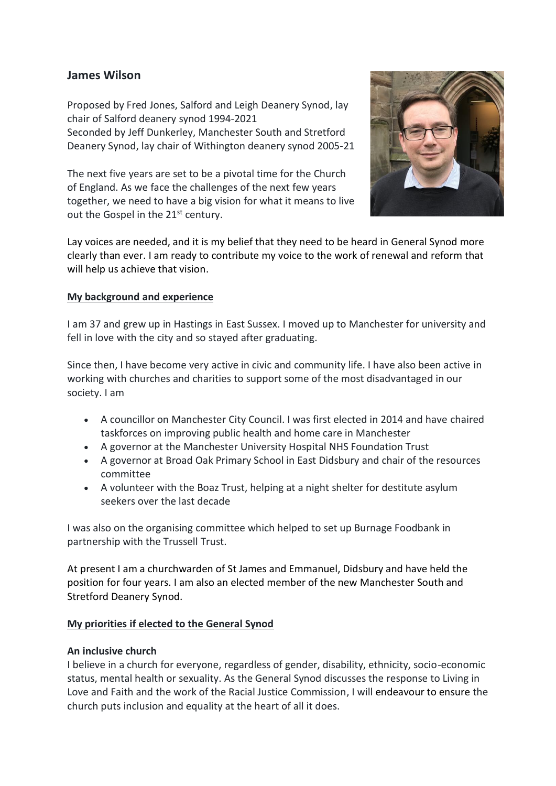# **James Wilson**

Proposed by Fred Jones, Salford and Leigh Deanery Synod, lay chair of Salford deanery synod 1994-2021 Seconded by Jeff Dunkerley, Manchester South and Stretford Deanery Synod, lay chair of Withington deanery synod 2005-21

The next five years are set to be a pivotal time for the Church of England. As we face the challenges of the next few years together, we need to have a big vision for what it means to live out the Gospel in the 21<sup>st</sup> century.



Lay voices are needed, and it is my belief that they need to be heard in General Synod more clearly than ever. I am ready to contribute my voice to the work of renewal and reform that will help us achieve that vision.

#### **My background and experience**

I am 37 and grew up in Hastings in East Sussex. I moved up to Manchester for university and fell in love with the city and so stayed after graduating.

Since then, I have become very active in civic and community life. I have also been active in working with churches and charities to support some of the most disadvantaged in our society. I am

- A councillor on Manchester City Council. I was first elected in 2014 and have chaired taskforces on improving public health and home care in Manchester
- A governor at the Manchester University Hospital NHS Foundation Trust
- A governor at Broad Oak Primary School in East Didsbury and chair of the resources committee
- A volunteer with the Boaz Trust, helping at a night shelter for destitute asylum seekers over the last decade

I was also on the organising committee which helped to set up Burnage Foodbank in partnership with the Trussell Trust.

At present I am a churchwarden of St James and Emmanuel, Didsbury and have held the position for four years. I am also an elected member of the new Manchester South and Stretford Deanery Synod.

## **My priorities if elected to the General Synod**

#### **An inclusive church**

I believe in a church for everyone, regardless of gender, disability, ethnicity, socio-economic status, mental health or sexuality. As the General Synod discusses the response to Living in Love and Faith and the work of the Racial Justice Commission, I will endeavour to ensure the church puts inclusion and equality at the heart of all it does.